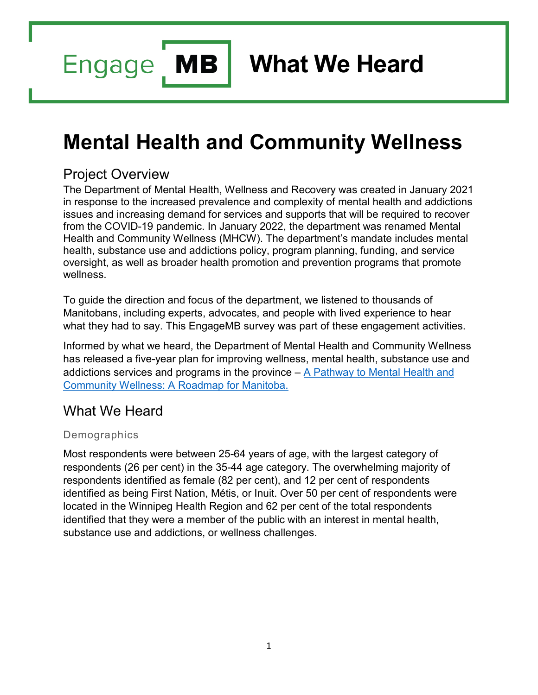**MB Engage** 

**What We Heard**

# **Mental Health and Community Wellness**

## Project Overview

The Department of Mental Health, Wellness and Recovery was created in January 2021 in response to the increased prevalence and complexity of mental health and addictions issues and increasing demand for services and supports that will be required to recover from the COVID-19 pandemic. In January 2022, the department was renamed Mental Health and Community Wellness (MHCW). The department's mandate includes mental health, substance use and addictions policy, program planning, funding, and service oversight, as well as broader health promotion and prevention programs that promote wellness.

To guide the direction and focus of the department, we listened to thousands of Manitobans, including experts, advocates, and people with lived experience to hear what they had to say. This EngageMB survey was part of these engagement activities.

Informed by what we heard, the Department of Mental Health and Community Wellness has released a five-year plan for improving wellness, mental health, substance use and addictions services and programs in the province  $- A$  Pathway to Mental Health and [Community Wellness: A Roadmap for Manitoba.](https://www.gov.mb.ca/mh/roadmap.html)

# What We Heard

#### Demographics

Most respondents were between 25-64 years of age, with the largest category of respondents (26 per cent) in the 35-44 age category. The overwhelming majority of respondents identified as female (82 per cent), and 12 per cent of respondents identified as being First Nation, Métis, or Inuit. Over 50 per cent of respondents were located in the Winnipeg Health Region and 62 per cent of the total respondents identified that they were a member of the public with an interest in mental health, substance use and addictions, or wellness challenges.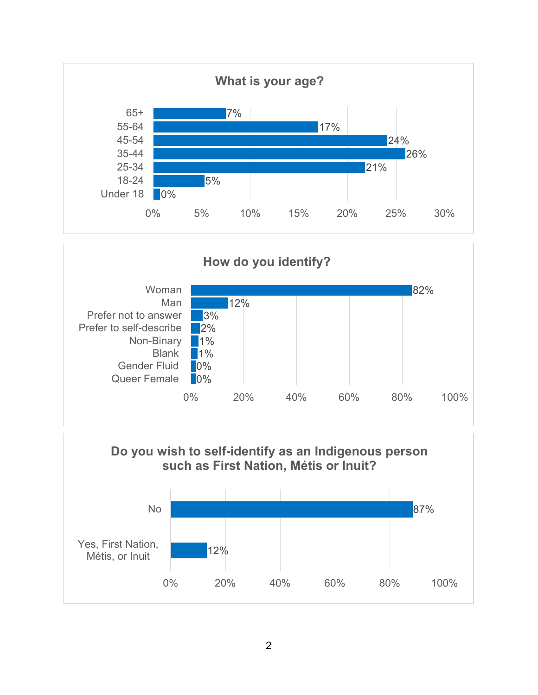



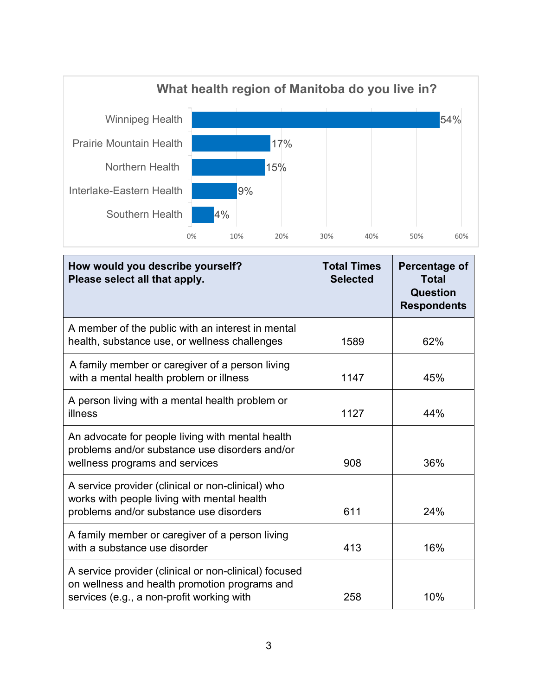

| How would you describe yourself?<br>Please select all that apply.                                                                                   | <b>Total Times</b><br><b>Selected</b> | Percentage of<br><b>Total</b><br>Question<br><b>Respondents</b> |
|-----------------------------------------------------------------------------------------------------------------------------------------------------|---------------------------------------|-----------------------------------------------------------------|
| A member of the public with an interest in mental<br>health, substance use, or wellness challenges                                                  | 1589                                  | 62%                                                             |
| A family member or caregiver of a person living<br>with a mental health problem or illness                                                          | 1147                                  | 45%                                                             |
| A person living with a mental health problem or<br>illness                                                                                          | 1127                                  | 44%                                                             |
| An advocate for people living with mental health<br>problems and/or substance use disorders and/or<br>wellness programs and services                | 908                                   | 36%                                                             |
| A service provider (clinical or non-clinical) who<br>works with people living with mental health<br>problems and/or substance use disorders         | 611                                   | 24%                                                             |
| A family member or caregiver of a person living<br>with a substance use disorder                                                                    | 413                                   | 16%                                                             |
| A service provider (clinical or non-clinical) focused<br>on wellness and health promotion programs and<br>services (e.g., a non-profit working with | 258                                   | 10%                                                             |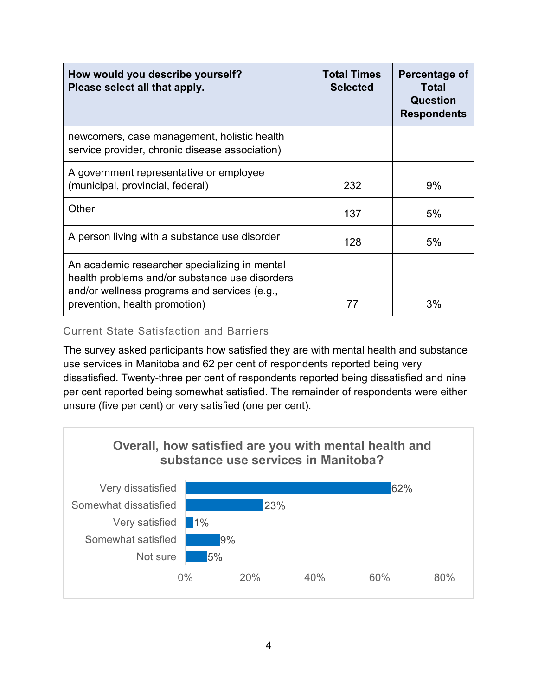| How would you describe yourself?<br>Please select all that apply.                                                                                                                | <b>Total Times</b><br><b>Selected</b> | Percentage of<br>Total<br>Question<br><b>Respondents</b> |
|----------------------------------------------------------------------------------------------------------------------------------------------------------------------------------|---------------------------------------|----------------------------------------------------------|
| newcomers, case management, holistic health<br>service provider, chronic disease association)                                                                                    |                                       |                                                          |
| A government representative or employee<br>(municipal, provincial, federal)                                                                                                      | 232                                   | 9%                                                       |
| Other                                                                                                                                                                            | 137                                   | 5%                                                       |
| A person living with a substance use disorder                                                                                                                                    | 128                                   | 5%                                                       |
| An academic researcher specializing in mental<br>health problems and/or substance use disorders<br>and/or wellness programs and services (e.g.,<br>prevention, health promotion) | 77                                    | 3%                                                       |

#### Current State Satisfaction and Barriers

The survey asked participants how satisfied they are with mental health and substance use services in Manitoba and 62 per cent of respondents reported being very dissatisfied. Twenty-three per cent of respondents reported being dissatisfied and nine per cent reported being somewhat satisfied. The remainder of respondents were either unsure (five per cent) or very satisfied (one per cent).

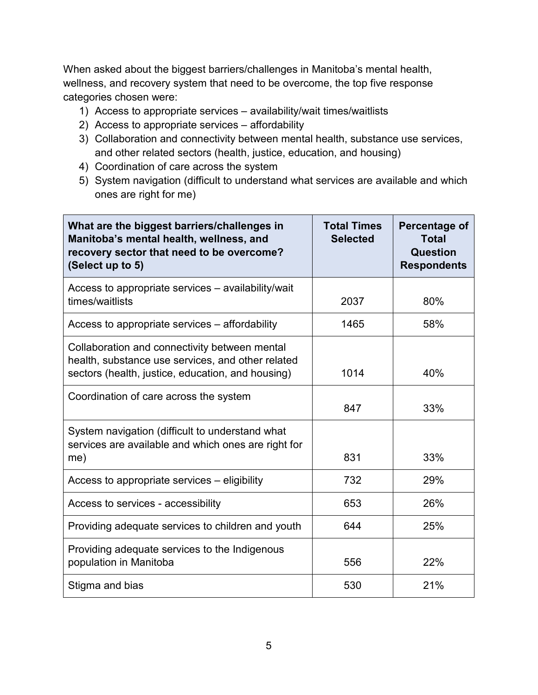When asked about the biggest barriers/challenges in Manitoba's mental health, wellness, and recovery system that need to be overcome, the top five response categories chosen were:

- 1) Access to appropriate services availability/wait times/waitlists
- 2) Access to appropriate services affordability
- 3) Collaboration and connectivity between mental health, substance use services, and other related sectors (health, justice, education, and housing)
- 4) Coordination of care across the system
- 5) System navigation (difficult to understand what services are available and which ones are right for me)

| What are the biggest barriers/challenges in<br>Manitoba's mental health, wellness, and<br>recovery sector that need to be overcome?<br>(Select up to 5) | <b>Total Times</b><br><b>Selected</b> | Percentage of<br><b>Total</b><br>Question<br><b>Respondents</b> |
|---------------------------------------------------------------------------------------------------------------------------------------------------------|---------------------------------------|-----------------------------------------------------------------|
| Access to appropriate services – availability/wait<br>times/waitlists                                                                                   | 2037                                  | 80%                                                             |
| Access to appropriate services – affordability                                                                                                          | 1465                                  | 58%                                                             |
| Collaboration and connectivity between mental<br>health, substance use services, and other related<br>sectors (health, justice, education, and housing) | 1014                                  | 40%                                                             |
| Coordination of care across the system                                                                                                                  | 847                                   | 33%                                                             |
| System navigation (difficult to understand what<br>services are available and which ones are right for<br>me)                                           | 831                                   | 33%                                                             |
| Access to appropriate services – eligibility                                                                                                            | 732                                   | 29%                                                             |
| Access to services - accessibility                                                                                                                      | 653                                   | 26%                                                             |
| Providing adequate services to children and youth                                                                                                       | 644                                   | 25%                                                             |
| Providing adequate services to the Indigenous<br>population in Manitoba                                                                                 | 556                                   | 22%                                                             |
| Stigma and bias                                                                                                                                         | 530                                   | 21%                                                             |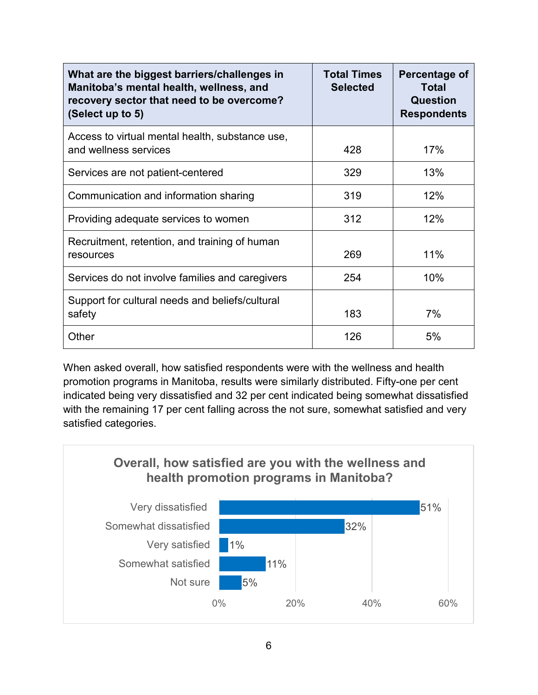| What are the biggest barriers/challenges in<br>Manitoba's mental health, wellness, and<br>recovery sector that need to be overcome?<br>(Select up to 5) | <b>Total Times</b><br><b>Selected</b> | Percentage of<br><b>Total</b><br>Question<br><b>Respondents</b> |
|---------------------------------------------------------------------------------------------------------------------------------------------------------|---------------------------------------|-----------------------------------------------------------------|
| Access to virtual mental health, substance use,<br>and wellness services                                                                                | 428                                   | 17%                                                             |
| Services are not patient-centered                                                                                                                       | 329                                   | 13%                                                             |
| Communication and information sharing                                                                                                                   | 319                                   | 12%                                                             |
| Providing adequate services to women                                                                                                                    | 312                                   | 12%                                                             |
| Recruitment, retention, and training of human<br>resources                                                                                              | 269                                   | 11%                                                             |
| Services do not involve families and caregivers                                                                                                         | 254                                   | 10%                                                             |
| Support for cultural needs and beliefs/cultural<br>safety                                                                                               | 183                                   | 7%                                                              |
| Other                                                                                                                                                   | 126                                   | 5%                                                              |

When asked overall, how satisfied respondents were with the wellness and health promotion programs in Manitoba, results were similarly distributed. Fifty-one per cent indicated being very dissatisfied and 32 per cent indicated being somewhat dissatisfied with the remaining 17 per cent falling across the not sure, somewhat satisfied and very satisfied categories.

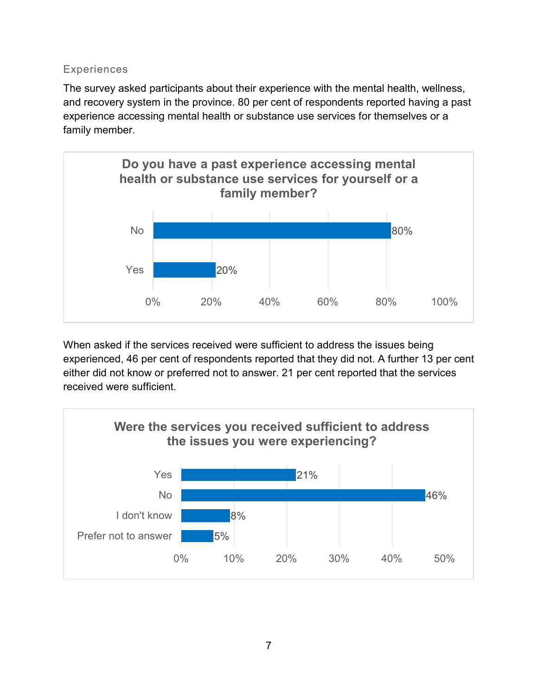#### Experiences

The survey asked participants about their experience with the mental health, wellness, and recovery system in the province. 80 per cent of respondents reported having a past experience accessing mental health or substance use services for themselves or a family member.



When asked if the services received were sufficient to address the issues being experienced, 46 per cent of respondents reported that they did not. A further 13 per cent either did not know or preferred not to answer. 21 per cent reported that the services received were sufficient.

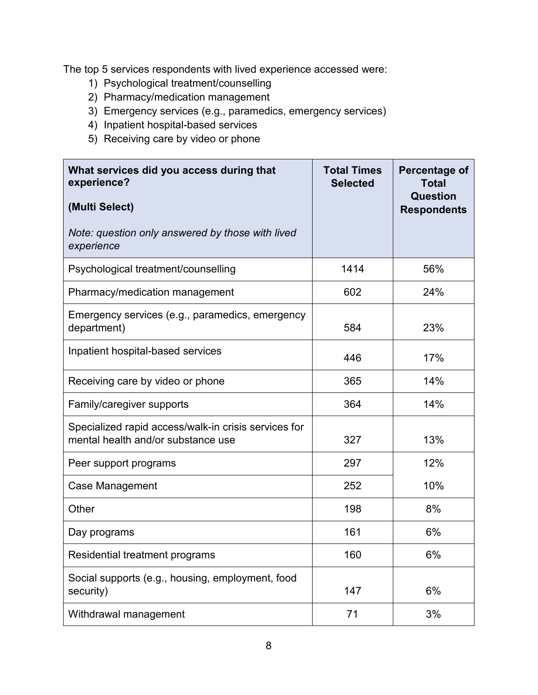The top 5 services respondents with lived experience accessed were:

- 1) Psychological treatment/counselling
- 2) Pharmacy/medication management
- 3) Emergency services (e.g., paramedics, emergency services)
- 4) Inpatient hospital-based services
- 5) Receiving care by video or phone

| What services did you access during that<br>experience?<br>(Multi Select)                  | <b>Total Times</b><br><b>Selected</b> | Percentage of<br><b>Total</b><br><b>Question</b><br><b>Respondents</b> |
|--------------------------------------------------------------------------------------------|---------------------------------------|------------------------------------------------------------------------|
| Note: question only answered by those with lived<br>experience                             |                                       |                                                                        |
| Psychological treatment/counselling                                                        | 1414                                  | 56%                                                                    |
| Pharmacy/medication management                                                             | 602                                   | 24%                                                                    |
| Emergency services (e.g., paramedics, emergency<br>department)                             | 584                                   | 23%                                                                    |
| Inpatient hospital-based services                                                          | 446                                   | 17%                                                                    |
| Receiving care by video or phone                                                           | 365                                   | 14%                                                                    |
| Family/caregiver supports                                                                  | 364                                   | 14%                                                                    |
| Specialized rapid access/walk-in crisis services for<br>mental health and/or substance use | 327                                   | 13%                                                                    |
| Peer support programs                                                                      | 297                                   | 12%                                                                    |
| <b>Case Management</b>                                                                     | 252                                   | 10%                                                                    |
| Other                                                                                      | 198                                   | 8%                                                                     |
| Day programs                                                                               | 161                                   | 6%                                                                     |
| Residential treatment programs                                                             | 160                                   | 6%                                                                     |
| Social supports (e.g., housing, employment, food<br>security)                              | 147                                   | 6%                                                                     |
| Withdrawal management                                                                      | 71                                    | 3%                                                                     |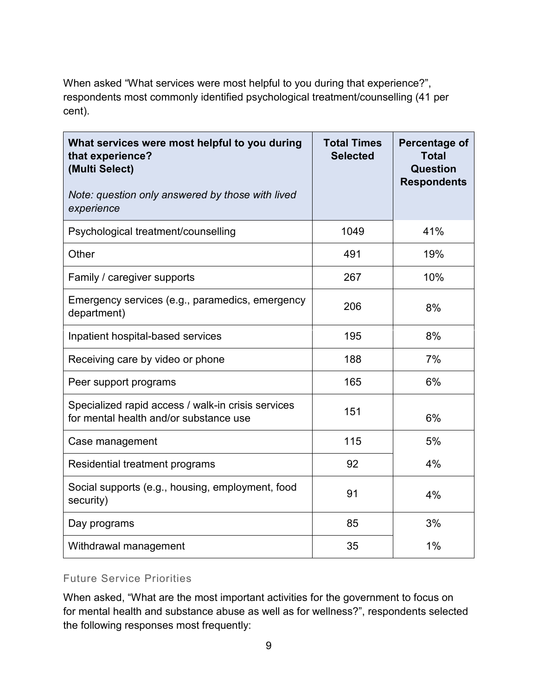When asked "What services were most helpful to you during that experience?", respondents most commonly identified psychological treatment/counselling (41 per cent).

| What services were most helpful to you during<br>that experience?<br>(Multi Select)<br>Note: question only answered by those with lived<br>experience | <b>Total Times</b><br><b>Selected</b> | Percentage of<br><b>Total</b><br>Question<br><b>Respondents</b> |
|-------------------------------------------------------------------------------------------------------------------------------------------------------|---------------------------------------|-----------------------------------------------------------------|
| Psychological treatment/counselling                                                                                                                   | 1049                                  | 41%                                                             |
| Other                                                                                                                                                 | 491                                   | 19%                                                             |
| Family / caregiver supports                                                                                                                           | 267                                   | 10%                                                             |
| Emergency services (e.g., paramedics, emergency<br>department)                                                                                        | 206                                   | 8%                                                              |
| Inpatient hospital-based services                                                                                                                     | 195                                   | 8%                                                              |
| Receiving care by video or phone                                                                                                                      | 188                                   | 7%                                                              |
| Peer support programs                                                                                                                                 | 165                                   | 6%                                                              |
| Specialized rapid access / walk-in crisis services<br>for mental health and/or substance use                                                          | 151                                   | 6%                                                              |
| Case management                                                                                                                                       | 115                                   | 5%                                                              |
| Residential treatment programs                                                                                                                        | 92                                    | 4%                                                              |
| Social supports (e.g., housing, employment, food<br>security)                                                                                         | 91                                    | 4%                                                              |
| Day programs                                                                                                                                          | 85                                    | 3%                                                              |
| Withdrawal management                                                                                                                                 | 35                                    | 1%                                                              |

#### Future Service Priorities

When asked, "What are the most important activities for the government to focus on for mental health and substance abuse as well as for wellness?", respondents selected the following responses most frequently: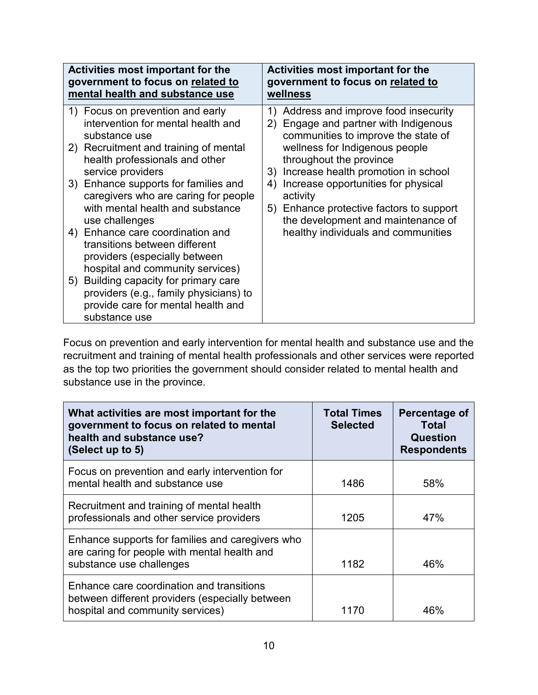| <b>Activities most important for the</b>                                                                                                                                                                                                                                                                                                                                                                                                                                                                                                                                                                          | <b>Activities most important for the</b>                                                                                                                                                                                                                                                                                                                                                                                    |
|-------------------------------------------------------------------------------------------------------------------------------------------------------------------------------------------------------------------------------------------------------------------------------------------------------------------------------------------------------------------------------------------------------------------------------------------------------------------------------------------------------------------------------------------------------------------------------------------------------------------|-----------------------------------------------------------------------------------------------------------------------------------------------------------------------------------------------------------------------------------------------------------------------------------------------------------------------------------------------------------------------------------------------------------------------------|
| government to focus on related to                                                                                                                                                                                                                                                                                                                                                                                                                                                                                                                                                                                 | government to focus on related to                                                                                                                                                                                                                                                                                                                                                                                           |
| mental health and substance use                                                                                                                                                                                                                                                                                                                                                                                                                                                                                                                                                                                   | wellness                                                                                                                                                                                                                                                                                                                                                                                                                    |
| 1) Focus on prevention and early<br>intervention for mental health and<br>substance use<br>2) Recruitment and training of mental<br>health professionals and other<br>service providers<br>3) Enhance supports for families and<br>caregivers who are caring for people<br>with mental health and substance<br>use challenges<br>4) Enhance care coordination and<br>transitions between different<br>providers (especially between<br>hospital and community services)<br>5) Building capacity for primary care<br>providers (e.g., family physicians) to<br>provide care for mental health and<br>substance use | Address and improve food insecurity<br>1)<br>Engage and partner with Indigenous<br>2)<br>communities to improve the state of<br>wellness for Indigenous people<br>throughout the province<br>Increase health promotion in school<br>3)<br>Increase opportunities for physical<br>4)<br>activity<br>Enhance protective factors to support<br>5)<br>the development and maintenance of<br>healthy individuals and communities |

Focus on prevention and early intervention for mental health and substance use and the recruitment and training of mental health professionals and other services were reported as the top two priorities the government should consider related to mental health and substance use in the province.

| What activities are most important for the<br>government to focus on related to mental<br>health and substance use?<br>(Select up to 5) | <b>Total Times</b><br><b>Selected</b> | Percentage of<br><b>Total</b><br><b>Question</b><br><b>Respondents</b> |
|-----------------------------------------------------------------------------------------------------------------------------------------|---------------------------------------|------------------------------------------------------------------------|
| Focus on prevention and early intervention for<br>mental health and substance use                                                       | 1486                                  | 58%                                                                    |
| Recruitment and training of mental health<br>professionals and other service providers                                                  | 1205                                  | 47%                                                                    |
| Enhance supports for families and caregivers who<br>are caring for people with mental health and<br>substance use challenges            | 1182                                  | 46%                                                                    |
| Enhance care coordination and transitions<br>between different providers (especially between<br>hospital and community services)        | 1170                                  | 46%                                                                    |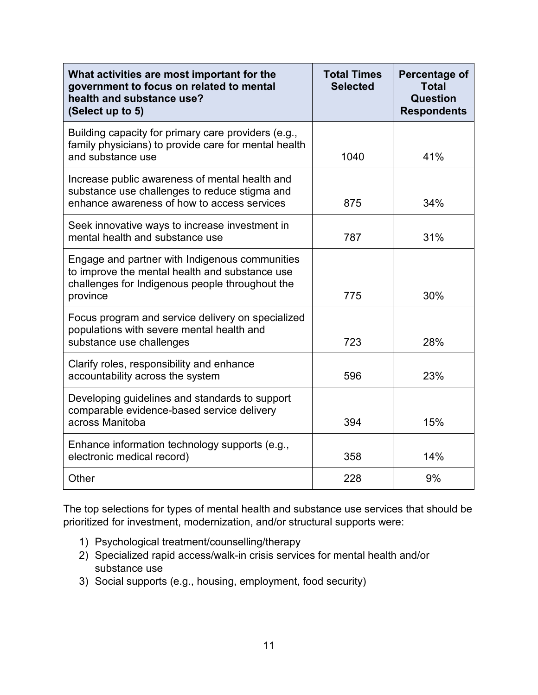| What activities are most important for the<br>government to focus on related to mental<br>health and substance use?<br>(Select up to 5)                         | <b>Total Times</b><br><b>Selected</b> | Percentage of<br><b>Total</b><br>Question<br><b>Respondents</b> |
|-----------------------------------------------------------------------------------------------------------------------------------------------------------------|---------------------------------------|-----------------------------------------------------------------|
| Building capacity for primary care providers (e.g.,<br>family physicians) to provide care for mental health<br>and substance use                                | 1040                                  | 41%                                                             |
| Increase public awareness of mental health and<br>substance use challenges to reduce stigma and<br>enhance awareness of how to access services                  | 875                                   | 34%                                                             |
| Seek innovative ways to increase investment in<br>mental health and substance use                                                                               | 787                                   | 31%                                                             |
| Engage and partner with Indigenous communities<br>to improve the mental health and substance use<br>challenges for Indigenous people throughout the<br>province | 775                                   | 30%                                                             |
| Focus program and service delivery on specialized<br>populations with severe mental health and<br>substance use challenges                                      | 723                                   | 28%                                                             |
| Clarify roles, responsibility and enhance<br>accountability across the system                                                                                   | 596                                   | 23%                                                             |
| Developing guidelines and standards to support<br>comparable evidence-based service delivery<br>across Manitoba                                                 | 394                                   | 15%                                                             |
| Enhance information technology supports (e.g.,<br>electronic medical record)                                                                                    | 358                                   | 14%                                                             |
| Other                                                                                                                                                           | 228                                   | 9%                                                              |

The top selections for types of mental health and substance use services that should be prioritized for investment, modernization, and/or structural supports were:

- 1) Psychological treatment/counselling/therapy
- 2) Specialized rapid access/walk-in crisis services for mental health and/or substance use
- 3) Social supports (e.g., housing, employment, food security)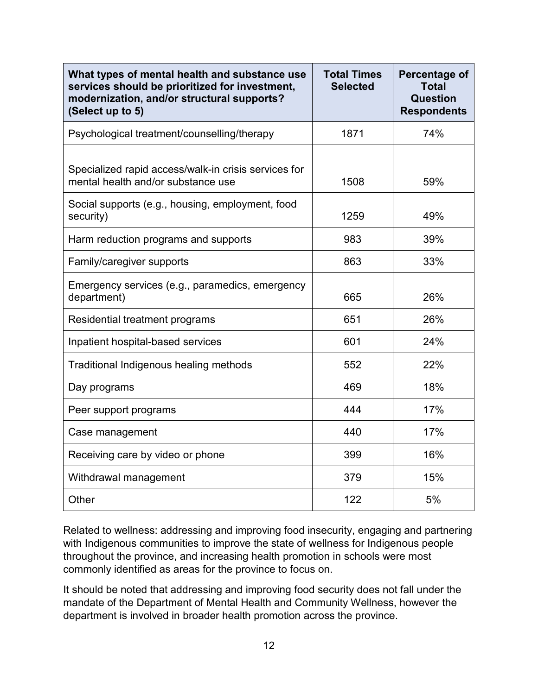| What types of mental health and substance use<br>services should be prioritized for investment,<br>modernization, and/or structural supports?<br>(Select up to 5) | <b>Total Times</b><br><b>Selected</b> | Percentage of<br><b>Total</b><br>Question<br><b>Respondents</b> |
|-------------------------------------------------------------------------------------------------------------------------------------------------------------------|---------------------------------------|-----------------------------------------------------------------|
| Psychological treatment/counselling/therapy                                                                                                                       | 1871                                  | 74%                                                             |
| Specialized rapid access/walk-in crisis services for<br>mental health and/or substance use                                                                        | 1508                                  | 59%                                                             |
| Social supports (e.g., housing, employment, food<br>security)                                                                                                     | 1259                                  | 49%                                                             |
| Harm reduction programs and supports                                                                                                                              | 983                                   | 39%                                                             |
| Family/caregiver supports                                                                                                                                         | 863                                   | 33%                                                             |
| Emergency services (e.g., paramedics, emergency<br>department)                                                                                                    | 665                                   | 26%                                                             |
| Residential treatment programs                                                                                                                                    | 651                                   | 26%                                                             |
| Inpatient hospital-based services                                                                                                                                 | 601                                   | 24%                                                             |
| Traditional Indigenous healing methods                                                                                                                            | 552                                   | 22%                                                             |
| Day programs                                                                                                                                                      | 469                                   | 18%                                                             |
| Peer support programs                                                                                                                                             | 444                                   | 17%                                                             |
| Case management                                                                                                                                                   | 440                                   | 17%                                                             |
| Receiving care by video or phone                                                                                                                                  | 399                                   | 16%                                                             |
| Withdrawal management                                                                                                                                             | 379                                   | 15%                                                             |
| Other                                                                                                                                                             | 122                                   | 5%                                                              |

Related to wellness: addressing and improving food insecurity, engaging and partnering with Indigenous communities to improve the state of wellness for Indigenous people throughout the province, and increasing health promotion in schools were most commonly identified as areas for the province to focus on.

It should be noted that addressing and improving food security does not fall under the mandate of the Department of Mental Health and Community Wellness, however the department is involved in broader health promotion across the province.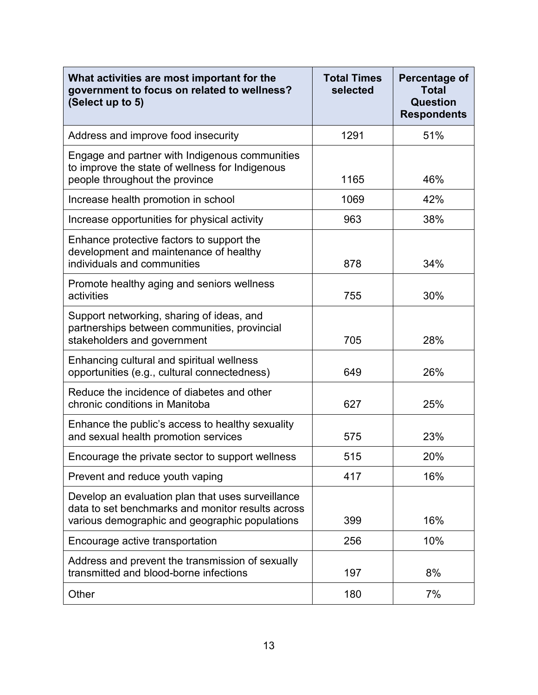| What activities are most important for the<br>government to focus on related to wellness?<br>(Select up to 5)                                            | <b>Total Times</b><br>selected | Percentage of<br><b>Total</b><br>Question<br><b>Respondents</b> |
|----------------------------------------------------------------------------------------------------------------------------------------------------------|--------------------------------|-----------------------------------------------------------------|
| Address and improve food insecurity                                                                                                                      | 1291                           | 51%                                                             |
| Engage and partner with Indigenous communities<br>to improve the state of wellness for Indigenous<br>people throughout the province                      | 1165                           | 46%                                                             |
| Increase health promotion in school                                                                                                                      | 1069                           | 42%                                                             |
| Increase opportunities for physical activity                                                                                                             | 963                            | 38%                                                             |
| Enhance protective factors to support the<br>development and maintenance of healthy<br>individuals and communities                                       | 878                            | 34%                                                             |
| Promote healthy aging and seniors wellness<br>activities                                                                                                 | 755                            | 30%                                                             |
| Support networking, sharing of ideas, and<br>partnerships between communities, provincial<br>stakeholders and government                                 | 705                            | 28%                                                             |
| Enhancing cultural and spiritual wellness<br>opportunities (e.g., cultural connectedness)                                                                | 649                            | 26%                                                             |
| Reduce the incidence of diabetes and other<br>chronic conditions in Manitoba                                                                             | 627                            | 25%                                                             |
| Enhance the public's access to healthy sexuality<br>and sexual health promotion services                                                                 | 575                            | 23%                                                             |
| Encourage the private sector to support wellness                                                                                                         | 515                            | 20%                                                             |
| Prevent and reduce youth vaping                                                                                                                          | 417                            | 16%                                                             |
| Develop an evaluation plan that uses surveillance<br>data to set benchmarks and monitor results across<br>various demographic and geographic populations | 399                            | 16%                                                             |
| Encourage active transportation                                                                                                                          | 256                            | 10%                                                             |
| Address and prevent the transmission of sexually<br>transmitted and blood-borne infections                                                               | 197                            | 8%                                                              |
| Other                                                                                                                                                    | 180                            | 7%                                                              |